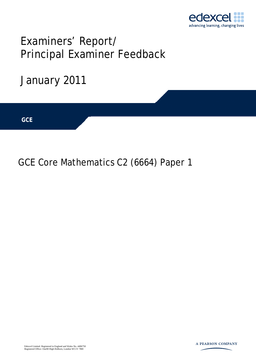

# Examiners' Report/ Principal Examiner Feedback



## GCE Core Mathematics C2 (6664) Paper 1

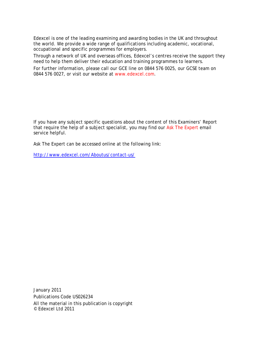Edexcel is one of the leading examining and awarding bodies in the UK and throughout the world. We provide a wide range of qualifications including academic, vocational, occupational and specific programmes for employers.

Through a network of UK and overseas offices, Edexcel's centres receive the support they need to help them deliver their education and training programmes to learners.

For further information, please call our GCE line on 0844 576 0025, our GCSE team on 0844 576 0027, or visit our website at www.edexcel.com.

If you have any subject specific questions about the content of this Examiners' Report that require the help of a subject specialist, you may find our Ask The Expert email service helpful.

Ask The Expert can be accessed online at the following link:

http://www.edexcel.com/Aboutus/contact-us/

January 2011 Publications Code US026234 All the material in this publication is copyright © Edexcel Ltd 2011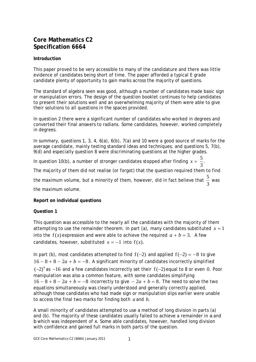### **Core Mathematics C2 Specification 6664**

#### **Introduction**

This paper proved to be very accessible to many of the candidature and there was little evidence of candidates being short of time. The paper afforded a typical E grade candidate plenty of opportunity to gain marks across the majority of questions.

The standard of algebra seen was good, although a number of candidates made basic sign or manipulation errors. The design of the question booklet continues to help candidates to present their solutions well and an overwhelming majority of them were able to give their solutions to all questions in the spaces provided.

In question 2 there were a significant number of candidates who worked in degrees and converted their final answers to radians. Some candidates, however, worked completely in degrees.

In summary, questions 1, 3, 4, 6(a), 6(b), 7(a) and 10 were a good source of marks for the average candidate, mainly testing standard ideas and techniques; and questions 5, 7(b), 9(d) and especially question 8 were discriminating questions at the higher grades.

In question 10(b), a number of stronger candidates stopped after finding  $x = \frac{5}{3}$ . 3  $x = \frac{3}{2}$ .

The majority of them did not realise (or forgot) that the question required them to find

the maximum volume, but a minority of them, however, did in fact believe that  $\frac{5}{5}$ 3 was

the maximum volume.

#### **Report on individual questions**

#### **Question 1**

This question was accessible to the nearly all the candidates with the majority of them attempting to use the remainder theorem. In part (a), many candidates substituted  $x = 1$ into the  $f(x)$  expression and were able to achieve the required  $a + b = 3$ . A few candidates, however, substituted  $x = -1$  into  $f(x)$ .

In part (b), most candidates attempted to find  $f(-2)$  and applied  $f(-2) = -8$  to give  $16 - 8 + 8 - 2a + b = -8$ . A significant minority of candidates incorrectly simplified  $(-2)^4$  as  $-16$  and a few candidates incorrectly set their  $f(-2)$  equal to 8 or even 0. Poor manipulation was also a common feature, with some candidates simplifying  $16 - 8 + 8 - 2a + b = -8$  incorrectly to give  $-2a + b = 8$ . The need to solve the two equations simultaneously was clearly understood and generally correctly applied, although those candidates who had made sign or manipulation slips earlier were unable to access the final two marks for finding both *a* and *b*.

A small minority of candidates attempted to use a method of long division in parts (a) and (b). The majority of these candidates usually failed to achieve a remainder in *a* and *b* which was independent of *x*. Some able candidates, however, handled long division with confidence and gained full marks in both parts of the question.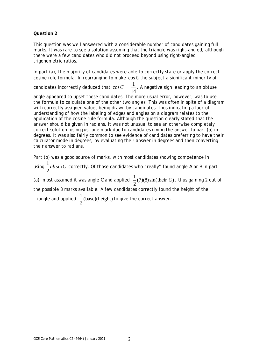This question was well answered with a considerable number of candidates gaining full marks. It was rare to see a solution assuming that the triangle was right-angled, although there were a few candidates who did not proceed beyond using right-angled trigonometric ratios.

In part (a), the majority of candidates were able to correctly state or apply the correct cosine rule formula. In rearranging to make cos*C* the subject a significant minority of

candidates incorrectly deduced that  $\cos C = \frac{1}{\sqrt{2}}$ . 14  $C = \frac{1}{\sqrt{2}}$ . A negative sign leading to an obtuse

angle appeared to upset these candidates. The more usual error, however, was to use the formula to calculate one of the other two angles. This was often in spite of a diagram with correctly assigned values being drawn by candidates, thus indicating a lack of understanding of how the labeling of edges and angles on a diagram relates to the application of the cosine rule formula. Although the question clearly stated that the answer should be given in radians, it was not unusual to see an otherwise completely correct solution losing just one mark due to candidates giving the answer to part (a) in degrees. It was also fairly common to see evidence of candidates preferring to have their calculator mode in degrees, by evaluating their answer in degrees and then converting their answer to radians.

Part (b) was a good source of marks, with most candidates showing competence in using  $\frac{1}{2}ab\sin$ 2 *ab C* correctly. Of those candidates who "really" found angle *A* or *B* in part

(a), most assumed it was angle *C* and applied  $\frac{1}{2}$  (7)(8)sin(their *C*) 2 *C* , thus gaining 2 out of

the possible 3 marks available. A few candidates correctly found the height of the

triangle and applied  $\frac{1}{2}$ (base)(height)  $\frac{1}{2}$ (base)(height) to give the correct answer.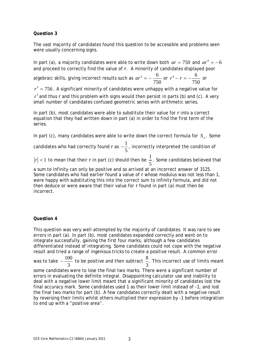The vast majority of candidates found this question to be accessible and problems seen were usually concerning signs.

In part (a), a majority candidates were able to write down both  $ar = 750$  and  $ar^4 = -6$ and proceed to correctly find the value of *r*. A minority of candidates displayed poor

algebraic skills, giving incorrect results such as  $ar^3 = -\frac{6}{\pi}$ 750  $ar^3 = -\frac{6}{750}$  or  $r^4 - r = -\frac{6}{75}$ 750  $r^4 - r = -\frac{6}{750}$  or

 $r^3 = 756$  . A significant minority of candidates were unhappy with a negative value for

 $r^3$  and thus  $r$  and this problem with signs would then persist in parts (b) and (c). A very small number of candidates confused geometric series with arithmetic series.

In part (b), most candidates were able to substitute their value for *r* into a correct equation that they had written down in part (a) in order to find the first term of the series.

In part (c), many candidates were able to write down the correct formula for  $S_{\infty}$ . Some

candidates who had correctly found *r* as  $-\frac{1}{5}$ 5  $-\frac{1}{x}$ , incorrectly interpreted the condition of

 $|r| < 1$  to mean that their *r* in part (c) should then be  $\frac{1}{r}$ 5 . Some candidates believed that

a sum to infinity can only be positive and so arrived at an incorrect answer of 3125. Some candidates who had earlier found a value of *r* whose modulus was not less than 1, were happy with substituting this into the correct sum to infinity formula, and did not then deduce or were aware that their value for *r* found in part (a) must then be incorrect.

#### **Question 4**

This question was very well attempted by the majority of candidates. It was rare to see errors in part (a). In part (b), most candidates expanded correctly and went on to integrate successfully, gaining the first four marks, although a few candidates differentiated instead of integrating. Some candidates could not cope with the negative result and tried a range of ingenious tricks to create a positive result. A common error was to take  $-\frac{100}{3}$  to be positive and then subtract  $\frac{8}{3}$ . 3 This incorrect use of limits meant some candidates were to lose the final two marks. There were a significant number of errors in evaluating the definite integral. Disappointing calculator use and inability to deal with a negative lower limit meant that a significant minority of candidates lost the final accuracy mark. Some candidates used 1 as their lower limit instead of -1, and lost the final two marks for part (b). A few candidates correctly dealt with a negative result by reversing their limits whilst others multiplied their expression by -1 before integration to end up with a "positive area".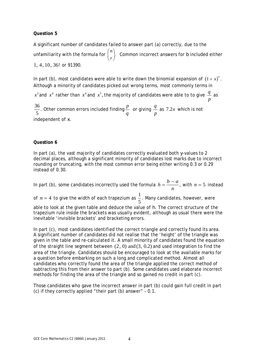A significant number of candidates failed to answer part (a) correctly, due to the unfamiliarity with the formula for  $\binom{n}{\cdot}$  $\binom{n}{r}$ . Common incorrect answers for *b* included either 1, 4, 10, 36! or 91390.

In part (b), most candidates were able to write down the binomial expansion of  $(1 + x)^n$ . Although a minority of candidates picked out wrong terms, most commonly terms in

 $x^3$  and  $\,x^4\,$  rather than  $\,x^4$  and  $\,x^5$ , the majority of candidates were able to to give  $\,\frac{q}{q}$ *p* as

 $\frac{36}{5}$ . Other common errors included finding  $\frac{p}{q}$  or giving *<sup>q</sup> p* as 7.2*x* which is not independent of *x.*

#### **Question 6**

In part (a), the vast majority of candidates correctly evaluated both *y*-values to 2 decimal places, although a significant minority of candidates lost marks due to incorrect rounding or truncating, with the most common error being either writing 0.3 or 0.29 instead of 0.30.

In part (b), some candidates incorrectly used the formula  $h = \frac{b - a}{a}$ *n*  $=\frac{b-a}{a}$ , with *n* = 5 instead

of  $n = 4$  to give the width of each trapezium as  $\frac{1}{5}$ 5 . Many candidates, however, were

able to look at the given table and deduce the value of *h*. The correct structure of the trapezium rule inside the brackets was usually evident, although as usual there were the inevitable 'invisible brackets' and bracketing errors.

In part (c), most candidates identified the correct triangle and correctly found its area. A significant number of candidates did not realise that the 'height' of the triangle was given in the table and re-calculated it. A small minority of candidates found the equation of the straight line segment between  $(2, 0)$  and  $(3, 0.2)$  and used integration to find the area of the triangle. Candidates should be encouraged to look at the available marks for a question before embarking on such a long and complicated method. Almost all candidates who correctly found the area of the triangle applied the correct method of subtracting this from their answer to part (b). Some candidates used elaborate incorrect methods for finding the area of the triangle and so gained no credit in part (c).

Those candidates who gave the incorrect answer in part (b) could gain full credit in part (c) if they correctly applied "their part (b) answer" – 0.1.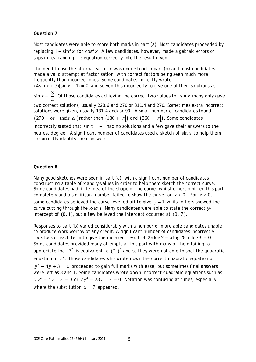Most candidates were able to score both marks in part (a). Most candidates proceeded by replacing  $1 - \sin^2 x$  for  $\cos^2 x$ . A few candidates, however, made algebraic errors or slips in rearranging the equation correctly into the result given.

The need to use the alternative form was understood in part (b) and most candidates made a valid attempt at factorisation, with correct factors being seen much more frequently than incorrect ones. Some candidates correctly wrote  $(4\sin x + 3)(\sin x + 1) = 0$  and solved this incorrectly to give one of their solutions as  $\sin x = \frac{3}{1}$ . 4  $x = \frac{3}{x}$ . Of those candidates achieving the correct two values for sin x many only gave two correct solutions, usually 228.6 and 270 or 311.4 and 270. Sometimes extra incorrect solutions were given, usually 131.4 and/or 90. A small number of candidates found  $(270 + or - their |\alpha|)$  rather than  $(180 + |\alpha|)$  and  $(360 - |\alpha|)$ . Some candidates incorrectly stated that  $\sin x = -1$  had no solutions and a few gave their answers to the nearest degree. A significant number of candidates used a sketch of sin *x* to help them to correctly identify their answers.

#### **Question 8**

Many good sketches were seen in part (a), with a significant number of candidates constructing a table of *x* and *y*-values in order to help them sketch the correct curve. Some candidates had little idea of the shape of the curve, whilst others omitted this part completely and a significant number failed to show the curve for  $x < 0$ . For  $x < 0$ , some candidates believed the curve levelled off to give  $y = 1$ , whilst others showed the curve cutting through the *x*-axis. Many candidates were able to state the correct *y*intercept of  $(0, 1)$ , but a few believed the intercept occurred at  $(0, 7)$ .

Responses to part (b) varied considerably with a number of more able candidates unable to produce work worthy of any credit. A significant number of candidates incorrectly took logs of each term to give the incorrect result of  $2x \log 7 - x \log 28 + \log 3 = 0$ . Some candidates provided many attempts at this part with many of them failing to appreciate that  $7^{2x}$  is equivalent to  $(7^x)^2$  and so they were not able to spot the quadratic equation in  $7<sup>x</sup>$ . Those candidates who wrote down the correct quadratic equation of  $y^2 - 4y + 3 = 0$  proceeded to gain full marks with ease, but sometimes final answers were left as 3 and 1. Some candidates wrote down incorrect quadratic equations such as  $7y^2 - 4y + 3 = 0$  or  $7y^2 - 28y + 3 = 0$ . Notation was confusing at times, especially where the substitution  $x = 7^x$  appeared.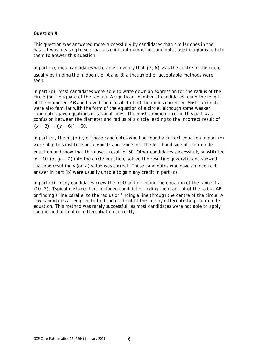This question was answered more successfully by candidates than similar ones in the past. It was pleasing to see that a significant number of candidates used diagrams to help them to answer this question.

In part (a), most candidates were able to verify that  $(3, 6)$  was the centre of the circle, usually by finding the midpoint of *A* and *B*, although other acceptable methods were seen.

In part (b), most candidates were able to write down an expression for the radius of the circle (or the square of the radius). A significant number of candidates found the length of the diameter *AB* and halved their result to find the radius correctly. Most candidates were also familiar with the form of the equation of a circle, although some weaker candidates gave equations of straight lines. The most common error in this part was confusion between the diameter and radius of a circle leading to the incorrect result of  $(x - 3)^2 + (y - 6)^2 = 50.$ 

In part (c), the majority of those candidates who had found a correct equation in part (b) were able to substitute both  $x = 10$  and  $y = 7$  into the left-hand side of their circle equation and show that this gave a result of 50. Other candidates successfully substituted  $x = 10$  (or  $y = 7$ ) into the circle equation, solved the resulting quadratic and showed that one resulting *y* (or *x* ) value was correct. Those candidates who gave an incorrect answer in part (b) were usually unable to gain any credit in part (c).

In part (d), many candidates knew the method for finding the equation of the tangent at (10, 7). Typical mistakes here included candidates finding the gradient of the radius *AB* or finding a line parallel to the radius or finding a line through the centre of the circle. A few candidates attempted to find the gradient of the line by differentiating their circle equation. This method was rarely successful, as most candidates were not able to apply the method of implicit differentiation correctly.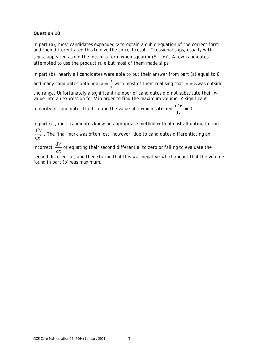In part (a), most candidates expanded *V* to obtain a cubic equation of the correct form and then differentiated this to give the correct result. Occasional slips, usually with signs, appeared as did the loss of a term when squaring  $(5 - x)^2$ . A few candidates attempted to use the product rule but most of them made slips.

In part (b), nearly all candidates were able to put their answer from part (a) equal to 0 and many candidates obtained  $x=\frac{5}{5}$ 3  $x = \frac{3}{2}$  with most of them realising that  $x = 5$  was outside the range. Unfortunately a significant number of candidates did not substitute their *x*value into an expression for *V* in order to find the maximum volume. A significant 2

minority of candidates tried to find the value of *x* which satisfied  $\frac{\mathrm{d}^2 V}{\mathrm{d} x^2} = 0$ d  $\frac{2V}{x^2} = 0$ .

In part (c), most candidates knew an appropriate method with almost all opting to find 2 d *V*

2 d *x* . The final mark was often lost, however, due to candidates differentiating an

incorrect  $\frac{d}{dx}$ d *V x* or equating their second differential to zero or failing to evaluate the

second differential, and then stating that this was negative which meant that the volume found in part (b) was maximum.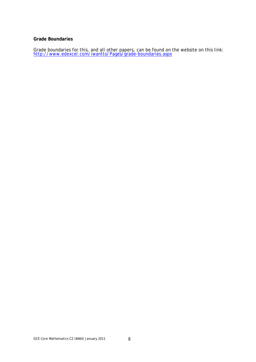#### **Grade Boundaries**

Grade boundaries for this, and all other papers, can be found on the website on this link: http://www.edexcel.com/iwantto/Pages/grade-boundaries.aspx